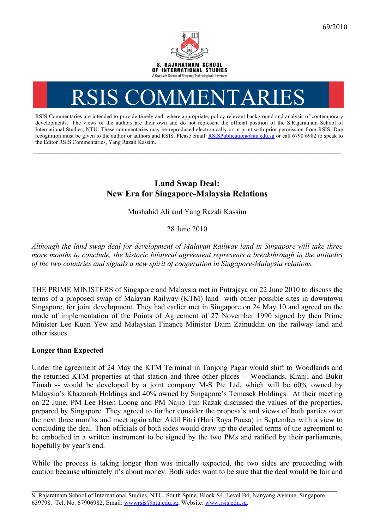

# RSIS COMMENTARI

RSIS Commentaries are intended to provide timely and, where appropriate, policy relevant background and analysis of contemporary developments. The views of the authors are their own and do not represent the official position of the S.Rajaratnam School of International Studies, NTU. These commentaries may be reproduced electronically or in print with prior permission from RSIS. Due recognition must be given to the author or authors and RSIS. Please email: RSISPublication@ntu.edu.sg or call 6790 6982 to speak to the Editor RSIS Commentaries, Yang Razali Kassim.

**\_\_\_\_\_\_\_\_\_\_\_\_\_\_\_\_\_\_\_\_\_\_\_\_\_\_\_\_\_\_\_\_\_\_\_\_\_\_\_\_\_\_\_\_\_\_\_\_\_\_\_\_\_\_\_\_\_\_\_\_\_\_\_\_\_\_\_\_\_\_\_\_\_\_\_\_\_\_\_\_\_\_\_\_\_\_\_\_\_\_\_\_\_\_\_\_\_\_**

# **Land Swap Deal: New Era for Singapore-Malaysia Relations**

Mushahid Ali and Yang Razali Kassim

## 28 June 2010

*Although the land swap deal for development of Malayan Railway land in Singapore will take three more months to conclude, the historic bilateral agreement represents a breakthrough in the attitudes of the two countries and signals a new spirit of cooperation in Singapore-Malaysia relations.*

THE PRIME MINISTERS of Singapore and Malaysia met in Putrajaya on 22 June 2010 to discuss the terms of a proposed swap of Malayan Railway (KTM) land with other possible sites in downtown Singapore, for joint development. They had earlier met in Singapore on 24 May 10 and agreed on the mode of implementation of the Points of Agreement of 27 November 1990 signed by then Prime Minister Lee Kuan Yew and Malaysian Finance Minister Daim Zainuddin on the railway land and other issues.

#### **Longer than Expected**

Under the agreement of 24 May the KTM Terminal in Tanjong Pagar would shift to Woodlands and the returned KTM properties at that station and three other places -- Woodlands, Kranji and Bukit Timah -- would be developed by a joint company M-S Pte Ltd, which will be 60% owned by Malaysia's Khazanah Holdings and 40% owned by Singapore's Temasek Holdings. At their meeting on 22 June, PM Lee Hsien Loong and PM Najib Tun Razak discussed the values of the properties, prepared by Singapore. They agreed to further consider the proposals and views of both parties over the next three months and meet again after Aidil Fitri (Hari Raya Puasa) in September with a view to concluding the deal. Then officials of both sides would draw up the detailed terms of the agreement to be embodied in a written instrument to be signed by the two PMs and ratified by their parliaments, hopefully by year's end.

While the process is taking longer than was initially expected, the two sides are proceeding with caution because ultimately it's about money. Both sides want to be sure that the deal would be fair and

\_\_\_\_\_\_\_\_\_\_\_\_\_\_\_\_\_\_\_\_\_\_\_\_\_\_\_\_\_\_\_\_\_\_\_\_\_\_\_\_\_\_\_\_\_\_\_\_\_\_\_\_\_\_\_\_\_\_\_\_\_\_\_\_\_\_\_\_\_\_\_\_\_\_\_\_\_\_\_\_\_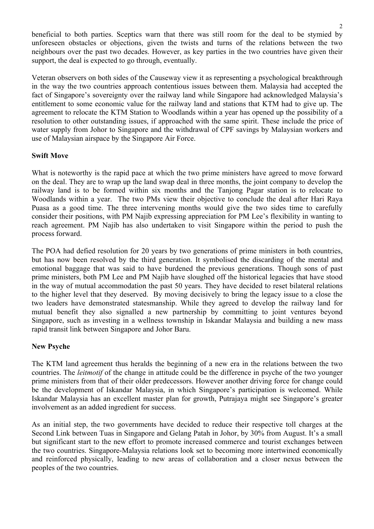beneficial to both parties. Sceptics warn that there was still room for the deal to be stymied by unforeseen obstacles or objections, given the twists and turns of the relations between the two neighbours over the past two decades. However, as key parties in the two countries have given their support, the deal is expected to go through, eventually.

Veteran observers on both sides of the Causeway view it as representing a psychological breakthrough in the way the two countries approach contentious issues between them. Malaysia had accepted the fact of Singapore's sovereignty over the railway land while Singapore had acknowledged Malaysia's entitlement to some economic value for the railway land and stations that KTM had to give up. The agreement to relocate the KTM Station to Woodlands within a year has opened up the possibility of a resolution to other outstanding issues, if approached with the same spirit. These include the price of water supply from Johor to Singapore and the withdrawal of CPF savings by Malaysian workers and use of Malaysian airspace by the Singapore Air Force.

## **Swift Move**

What is noteworthy is the rapid pace at which the two prime ministers have agreed to move forward on the deal. They are to wrap up the land swap deal in three months, the joint company to develop the railway land is to be formed within six months and the Tanjong Pagar station is to relocate to Woodlands within a year. The two PMs view their objective to conclude the deal after Hari Raya Puasa as a good time. The three intervening months would give the two sides time to carefully consider their positions, with PM Najib expressing appreciation for PM Lee's flexibility in wanting to reach agreement. PM Najib has also undertaken to visit Singapore within the period to push the process forward.

The POA had defied resolution for 20 years by two generations of prime ministers in both countries, but has now been resolved by the third generation. It symbolised the discarding of the mental and emotional baggage that was said to have burdened the previous generations. Though sons of past prime ministers, both PM Lee and PM Najib have sloughed off the historical legacies that have stood in the way of mutual accommodation the past 50 years. They have decided to reset bilateral relations to the higher level that they deserved. By moving decisively to bring the legacy issue to a close the two leaders have demonstrated statesmanship. While they agreed to develop the railway land for mutual benefit they also signalled a new partnership by committing to joint ventures beyond Singapore, such as investing in a wellness township in Iskandar Malaysia and building a new mass rapid transit link between Singapore and Johor Baru.

#### **New Psyche**

The KTM land agreement thus heralds the beginning of a new era in the relations between the two countries. The *leitmotif* of the change in attitude could be the difference in psyche of the two younger prime ministers from that of their older predecessors. However another driving force for change could be the development of Iskandar Malaysia, in which Singapore's participation is welcomed. While Iskandar Malaysia has an excellent master plan for growth, Putrajaya might see Singapore's greater involvement as an added ingredient for success.

As an initial step, the two governments have decided to reduce their respective toll charges at the Second Link between Tuas in Singapore and Gelang Patah in Johor, by 30% from August. It's a small but significant start to the new effort to promote increased commerce and tourist exchanges between the two countries. Singapore-Malaysia relations look set to becoming more intertwined economically and reinforced physically, leading to new areas of collaboration and a closer nexus between the peoples of the two countries.